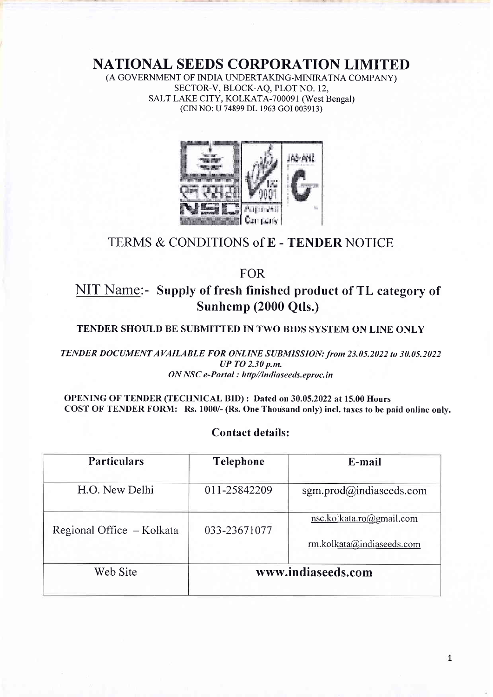NATIONAL SEEDS CORPORATION LIMITED

(A GOVERNMENT OF INDIA UNDERTAKING-MINIRATNA COMPANY) SECTOR-V, BLOCK-AO, PLOT NO. 12, SALT LAKE CITY, KOLKATA-700091 (West Bengal) (CIN NO: U 74899 DL 1963 cOI 003913)



# TERMS & CONDITIONS of E - TENDER NOTICE

FOR

# **NIT Name:- Supply of fresh finished product of TL category of** Sunhemp (2000 Qtls.)

## TENDER SHOULD BE SUBMITTED IN TWO BIDS SYSTEM ON LINE ONLY

TENDER DOCUMENT AVAILABLE FOR ONLINE SUBMISSION: from 23.05.2022 to 30.05.2022 UP TO 2.30 p.m. ON NSC e-Portal : http//indiaseeds.eproc.in

OPENING OF TENDER (TECHNICAL BID) : Dated on 30.05.2022 at 15.00 Hours COST OF TENDER FORM: Rs. 1000/- (Rs. One Thousand only) incl. taxes to be paid online only.

## Contact details:

| <b>Particulars</b>        | <b>Telephone</b>   | E-mail                                                |  |
|---------------------------|--------------------|-------------------------------------------------------|--|
| H.O. New Delhi            | 011-25842209       | sgm.prod@indiaseeds.com                               |  |
| Regional Office - Kolkata | 033-23671077       | nsc.kolkata.ro@gmail.com<br>rm.kolkata@indiaseeds.com |  |
| Web Site                  | www.indiaseeds.com |                                                       |  |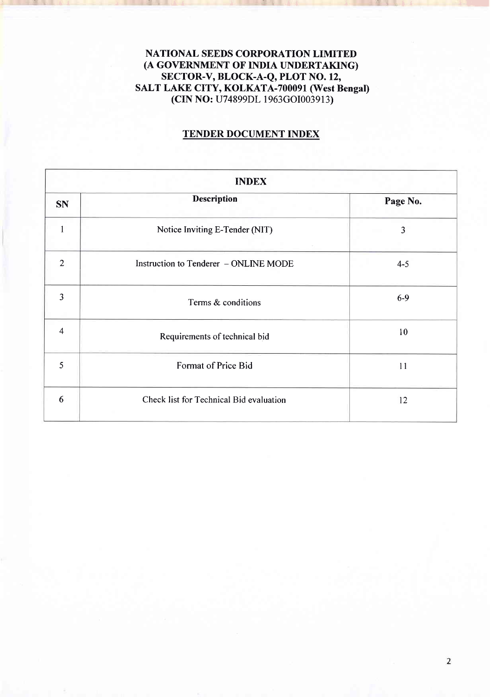## NATIONAL SEEDS CORPORATION LIMITED (A GOVERNMENT OF INDIA UNDERTAKING) SECTOR-V, BLOCK-A-Q, PLOT NO. 12, SALT LAKE CITY, KOLKATA-700091 (West Bengal) (CIN NO: U74899DL 1963cOI003913)

 $\mathcal{L}_{\mathcal{A}}$  -th is a set of the interval of  $\mathcal{L}_{\mathcal{A}}$  . If  $\mathcal{L}_{\mathcal{A}}$  is a set of the interval of the interval of the interval of the interval of the interval of the interval of the interval of the interval of

## TENDER DOCUMENT INDEX

| <b>INDEX</b>   |                                         |          |  |  |  |
|----------------|-----------------------------------------|----------|--|--|--|
| <b>SN</b>      | <b>Description</b>                      | Page No. |  |  |  |
|                | Notice Inviting E-Tender (NIT)          | 3        |  |  |  |
| 2              | Instruction to Tenderer - ONLINE MODE   | $4 - 5$  |  |  |  |
| 3              | Terms & conditions                      | $6-9$    |  |  |  |
| $\overline{4}$ | Requirements of technical bid           | 10       |  |  |  |
| 5              | Format of Price Bid                     | 11       |  |  |  |
| 6              | Check list for Technical Bid evaluation | 12       |  |  |  |

J-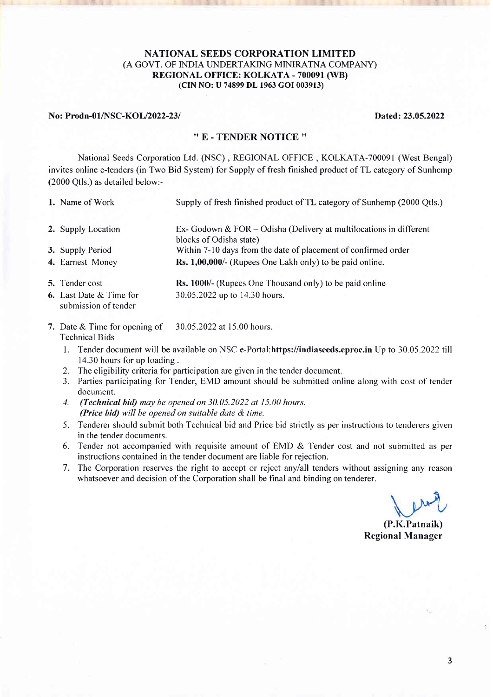#### NATIONAL SEEDS CORPORATION LIMITED (A GOVT. OF INDIA UNDERTAKING MINIRATNA COMPANY) REGIONAL OFFICE: KOLKATA - 700091 (WB) (CIN NO: U 74899 DL 1963 GOI 003913)

#### No: Prodn-01/NSC-KOL/2022-23/<br>
Dated: 23.05.2022

#### '' E . TENDER NOTICE ''

National Seeds Corporation Ltd. (NSC), REGIONAL OFFICE, KOLKATA-700091 (West Bengal) invites online e-tenders (in Two Bid System) for Supply of fresh finished product of TL category of Sunhemp (2000 Qtls.) as detailed below:-

- 1. Name of Work Supply of fresh finished product of TL category of Sunhemp (2000 Otls.) 2. Supply Location 3. Supply Period 4. Earnest Money 5. Tender cost Ex- Godown & FOR - Odisha (Delivery at multilocations in different blocks of Odisha state) Within 7-10 days from the date of placement of confirmed order Rs. 1,00,000/- (Rupees One Lakh only) to be paid online. Rs. 1000/- (Rupees One Thousand only) to be paid online 30.05.2022 up to 14.30 hours.
- 6. Last Date & Time for submission of tender
- 7. Date & Time for opening of 30.05.2022 at 15.00 hours. Technical Bids
	- l. Tender document will be available on NSC e-Portal:https://indiaseeds.eproc.in Up to 30.05 .2022 till 14.30 hours for up loading .
	- 2. The eligibility criteria for participation are given in the tender document.
	- 3. Parties participating for Tender, EMD amount should be submitted online along with cost of tender document.
	- 1. (Technical bid) may be opened on 30.05.2022 at 15.00 hours. (Price bid) will be opened on suitable date & time.
	- 5. Tenderer should submit both Technical bid and Price bid strictly as per instructions to tenderers given in the tender documents.
	- 6. Tender not accompanied with requisite amount of EMD & Tender cost and not submitted as per instructions contained in the tender document are liable for rejection.
	- 7. The Corporation reserves the right to accept or reject anylall tenders without assigning any reason whatsoever and decision of the Corporation shall be final and binding on tenderer.

(P.K.Patnaik) Regional Manager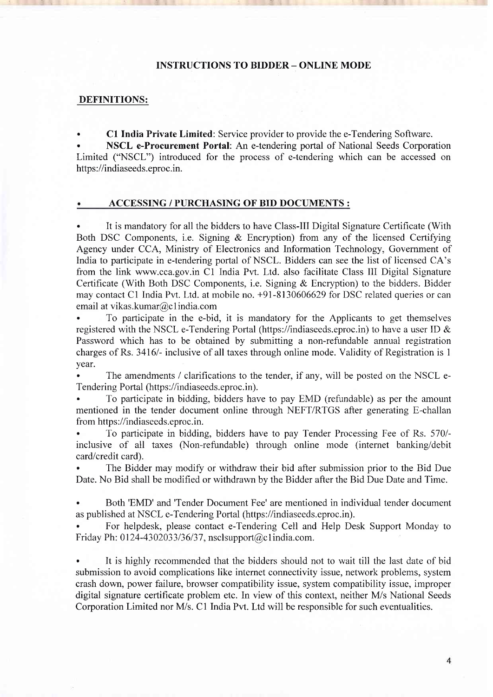#### INSTRUCTIONS TO BIDDER - ONLINE MODE

### DEFINITIONS:

. Cl India Private Limited: Service provider to provide the e-Tendering Software.

. NSCL e-Procurement Portal: An e-tendering portal of National Seeds Corporation Limited ("NSCL") introduced for the process of e-tendering which can be accessed on https ://indiaseeds. eproc.in.

#### ACCESSING / PURCHASING OF BID DOCUMENTS :

. It is mandatory for all the bidders to have Class-III Digital Signature Certificate (With Both DSC Components, i.e. Signing & Encryption) from any of the licensed Certifying Agency under CCA, Ministry of Electronics and Information Technology, Govemment of India to participate in e-tendering portal of NSCL. Bidders can see the list of licensed CA's from the link www.cca.gov.in Cl India Pv1. Ltd. also facilitate Class III Digital Signature Certificate (With Both DSC Components, i.e. Signing & Encryption) to the bidders. Bidder may contact Cl India Pvt. Ltd. at mobile no. +91-8130606629 for DSC related queries or can email at vikas.kumar@c I india.com

. To participate in the e-bid, it is mandatory for the Applicants to get themselves registered with the NSCL e-Tendering Portal (https://indiaseeds.eproc.in) to have a user ID & Password which has to be obtained by submitting a non-refundable annual registration charges of Rs. 3416/- inclusive of all taxes through online mode. Validity of Registration is 1 year.

The amendments / clarifications to the tender, if any, will be posted on the NSCL e-Tendering Portal (https://indiaseeds.eproc.in).

. To participate in bidding, bidders have to pay EMD (refundable) as per the amount mentioned in the tender document online through NEFT/RTGS after generating E-challan from https://indiaseeds.eproc.in.

. To participate in bidding, bidders have to pay Tender Processing Fee of Rs. 570/ inclusive of all taxes (Non-refundable) through online mode (internet banking/debit card/credit card).

. The Bidder may modify or withdraw their bid after submission prior to the Bid Due Date. No Bid shall be modified or withdrawn by the Bidder after the Bid Due Date and Time.

. Both'EMD' and'Tender Document Fee'are mentioned in individual tender document as published at NSCL e-Tendering Portal (https://indiaseeds.eproc.in).

. For helpdesk, please contact e-Tendering Cell and Help Desk Support Monday to Friday Ph: 0124-4302033/36/37, nsclsupport $(a)$ clindia.com.

. It is highly recommended that the bidders should not to wait till the last date of bid submission to avoid complications like internet connectivity issue, network problems, system crash down, power failure, browser compatibility issue, system compatibility issue, improper digital signature certificate problem etc. In view of this context, neither M/s National Seeds Corporation Limited nor M/s. C1 India Pvt. Ltd will be responsible for such eventualities.

 $\overline{4}$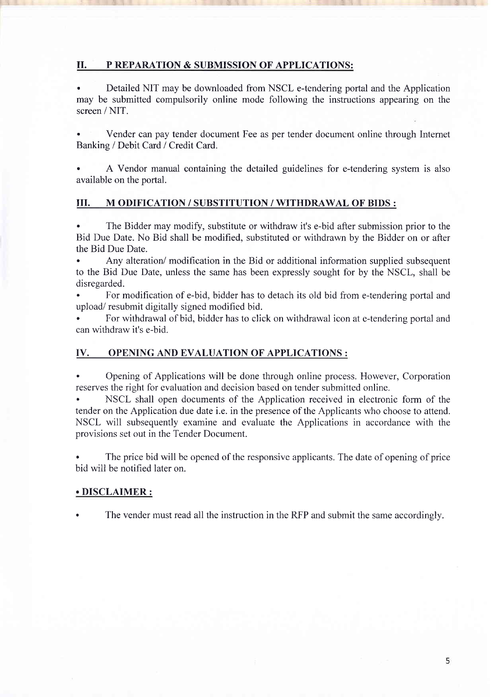## II. P REPARATION & SUBMISSION OF APPLICATIONS:

. Detailed NIT may be downloaded from NSCL e-tendering portal and the Application may be submitted compulsorily online mode following the instructions appearing on the screen / NIT.

. Vender can pay tender document Fee as per tender document online through Intemet Banking / Debit Card / Credit Card.

A Vendor manual containing the detailed guidelines for e-tendering system is also available on the portal.

## III. M ODIFICATION / SUBSTITUTION / WITHDRAWAL OF BIDS :

. The Bidder may modify, substitute or withdraw it's e-bid after submission prior to the Bid Due Date. No Bid shall be modified, substituted or withdrawn by the Bidder on or after the Bid Due Date.

. Any alteration/ modification in the Bid or additional information supplied subsequent to the Bid Due Date, unless the same has been expressly sought for by the NSCL, shall be disregarded.

. For modification of e-bid, bidder has to detach its old bid from e-tendering portal and upload/ resubmit digitally signed modified bid.

. For withdrawal of bid, bidder has to click on withdrawal icon at e-tendering portal and can withdraw it's e-bid.

## IV. OPENING AND EVALUATION OF APPLICATIONS :

. Opening of Applications will be done through online process. However, Corporation reserves the right for evaluation and decision based on tender submitted online.

. NSCL shall open documents of the Application received in electronic form of the tender on the Application due date i.e. in the presence of the Applicants who choose to attend. NSCL will subsequently examine and evaluate the Applications in accordance with the provisions set out in the Tender Document.

. The price bid will be opened of the responsive applicants. The date of opening of price bid will be notified later on.

## . DISCLAIMER :

. The vender must read all the instruction in the RFP and submit the same accordingly.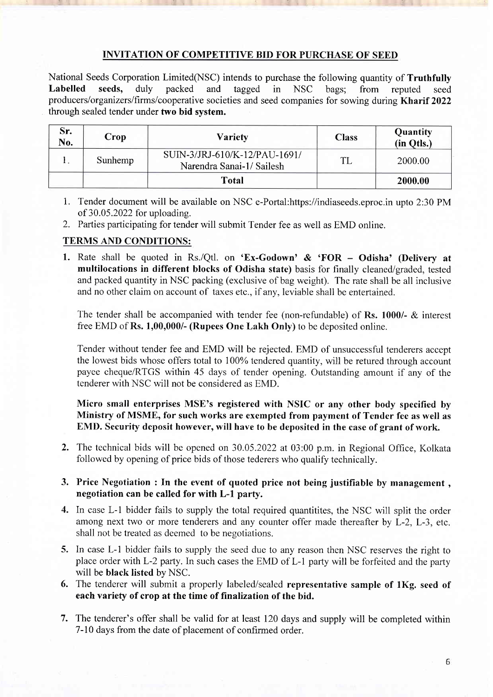## INVITATION OF COMPETITIVE BID FOR PURCHASE OF SEED

National Seeds Corporation Limited(NSC) intends to purchase the following quantity of **Truthfully**<br> **Labelled** seeds, duly packed and tagged in NSC bags: from reputed seed Labelled seeds, duly packed and tagged in NSC bags; from reputed seed producers/organizerslfirms/cooperative societies and seed companies for sowing during Kharif 2022 through sealed tender under two bid system.

| Sr.<br>No. | Crop    | <b>Variety</b>                                            | <b>Class</b> | Quantity<br>(in Qtls.) |
|------------|---------|-----------------------------------------------------------|--------------|------------------------|
| . .        | Sunhemp | SUIN-3/JRJ-610/K-12/PAU-1691/<br>Narendra Sanai-1/Sailesh |              | 2000.00                |
|            |         | <b>Total</b>                                              |              | 2000.00                |

- 1. Tender document will be available on NSC e-Portal:https://indiaseeds.eproc.in upto 2:30 PM of 30.05.2022 for uploading.
- 2. Parties participating for tender will submit Tender fee as well as EMD online.

## TERMS AND CONDITIONS:

1. Rate shall be quoted in Rs./Qtl. on 'Ex-Godown' & 'FOR - Odisha' (Delivery at multilocations in different blocks of Odisha state) basis for finally cleaned/graded, tested and packed quantity in NSC packing (exclusive of bag weight). The rate shall be all inclusive and no other claim on account of taxes etc., if any, leviable shall be entertained.

The tender shall be accompanied with tender fee (non-refundable) of Rs. 1000/- & interest free EMD of Rs. 1,00,000/- (Rupees One Lakh Only) to be deposited online.

Tender without tender fee and EMD will be rejected. EMD of unsuccessful tenderers accept the lowest bids whose offers total to 100% tendered quantity, will be retured through account payee cheque/RTGS within 45 days of tender opening. Outstanding amount if any of the tenderer with NSC will not be considered as EMD.

Micro small enterprises MSE's registered with NSIC or any other body specified by Ministry of MSME, for such works are exempted from payment of Tender fee as well as EMD. Security deposit however, will have to be deposited in the case of grant of work.

- 2. The technical bids will be opened on 30.05.2022 at 03:00 p.m. in Regional Office, Kolkata followed by opening of price bids of those tederers who qualify technically.
- 3. Price Negotiation : In the event of quoted price not being justifiable by management , negotiation can be called for with L-l party.
- 4. In case L-l bidder fails to supply the total required quantitites, the NSC will split the order among next two or more tenderers and any counter offer made thereafter by L-2, L-3, etc. shall not be treated as deemed to be negotiations.
- 5. In case L-l bidder fails to supply the seed due to any reason then NSC reserves the right to place order with L-2 party. In such cases the EMD of L-1 party will be forfeited and the party will be black Iisted by NSC.
- 6. The tenderer will submit a properly labeled/sealed representative sample of lKg. seed of each variety of crop at the time of finalization of the bid.
- 7. The tenderer's offer shall be valid for at least 120 days and supply will be completed within 7-10 days from the date of placement of confirmed order.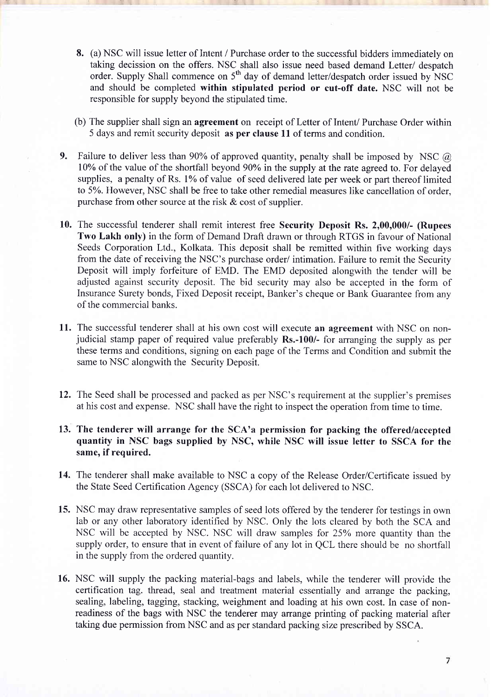- 8. (a) NSC will issue letter of Intent / Purchase order to the successful bidders immediately on taking decission on the offers. NSC shall also issue need based demand Letter/ despatch order. Supply Shall commence on 5<sup>th</sup> day of demand letter/despatch order issued by NSC and should be completed within stipulated period or cut-off date. NSC will not be responsible for supply beyond the stipulated time.
- (b) The supplier shall sign an agreement on receipt of Letter of Intent/ Purchase Order within 5 days and remit security deposit as per clause 11 of terms and condition.
- 9. Failure to deliver less than 90% of approved quantity, penalty shall be imposed by NSC  $\omega$ 10% of the value of the shortfall beyond 90% in the supply at the rate agreed to. For delayed supplies, a penalty of Rs. 1% of value of seed delivered late per week or part thereof limited to 5%. However, NSC shall be free to take other remedial measures like cancellation of order, purchase from other source at the risk  $\&$  cost of supplier.
- 10. The successful tenderer shall remit interest free Security Deposit Rs. 2,00,000/- (Rupees Two Lakh only) in the form of Demand Draft drawn or through RTGS in favour of National Seeds Corporation Ltd., Kolkata. This deposit shall be remitted within five working days from the date of receiving the NSC's purchase order/ intimation. Failure to remit the Security Deposit will imply forfeiture of EMD. The EMD deposited alongwith the tender will be adjusted against security deposit. The bid security may also be accepted in the form of Insurance Surety bonds, Fixed Deposit receipt, Banker's cheque or Bank Guarantee from any of the commercial banks.
- 11. The successful tenderer shall at his own cost will execute an agreement with NSC on nonjudicial stamp paper of required value preferably Rs.-100/- for arranging the supply as per these terms and conditions, signing on each page of the Terms and Condition and submit the same to NSC alongwith the Security Deposit.
- 12. The Seed shall be processed and packed as per NSC's requirement at the supplier's premises at his cost and expense. NSC shall have the right to inspect the operation from time to time.
- 13. The tenderer will arrange for the SCA'a permission for packing the offered/accepted quantity in NSC bags supplied by NSC, while NSC will issue letter to SSCA for the same, if required.
- 14. The tenderer shall make available to NSC a copy of the Release Order/Certificate issued by the State Seed Certification Agency (SSCA) for each lot delivered to NSC.
- 15. NSC may draw representative samples of seed lots offered by the tenderer for testings in own lab or any other laboratory identified by NSC. Only the lots cleared by both the SCA and NSC will be accepted by NSC. NSC will draw samples for 25Yo more quantity than the supply order, to ensure that in event of failure of any lot in QCL there should be no shortfall in the supply from the ordered quantity.
- 16. NSC will supply the packing material-bags and labels, while the tenderer will provide the certification tag. thread, seal and treatment material essentially and arrange the packing, sealing, labeling, tagging, stacking, weighment and loading at his own cost. In case of nonreadiness of the bags with NSC the tenderer may arrange printing of packing material after taking due permission from NSC and as per standard packing size prescribed by SSCA.

 $\overline{7}$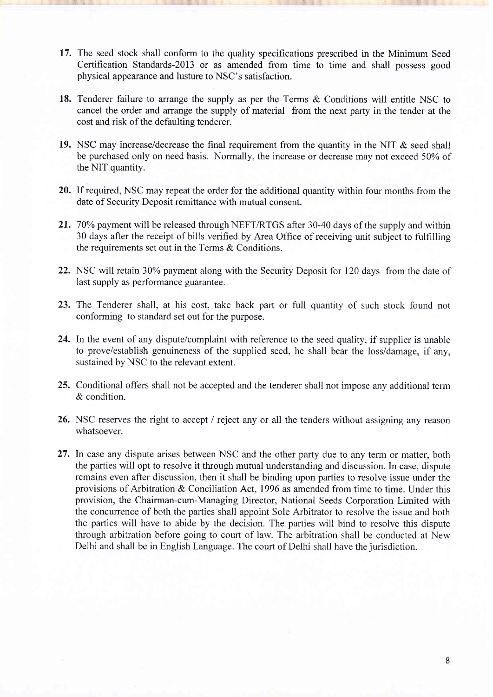- 17. The seed stock shall conform to the quality specifications prescribed in the Minimum Seed Certification Standards-2Ol3 or as amended from time to time and shall possess good physical appearance and lusture to NSC's satisfaction.
- 18. Tenderer failure to arrange the supply as per the Terms & Conditions will entitle NSC to cancel the order and arrange the supply of material from the next party in the tender at the cost and risk of the defaulting tenderer.
- 19. NSC may increase/decrease the final requirement from the quantity in the NIT & seed shall be purchased only on need basis. Normally, the increase or decrease may not exceed 50% of the NIT quantity.
- 20. If required, NSC may repeat the order for the additional quantity within four months from the date of Security Deposit remittance with mutual consent.
- 21. 70% payment will be released through NEFT/RTGS after 30-40 days of the supply and within 30 days after the receipt of bills verified by Area Office of receiving unit subject to fulfilling the requirements set out in the Terms & Conditions.
- 22. NSC will retain 30% payment along with the Security Deposit for 120 days from the date of last supply as performance guarantee.
- 23. The Tenderer shall, at his cost, take back part or full quantity of such stock found not conforming to standard set out for the purpose.
- 24. In the event of any dispute/complaint with reference to the seed quality, if supplier is unable to prove/establish genuineness of the supplied seed, he shall bear the loss/damage, if any, sustained by NSC to the relevant extent.
- 25. Conditional offers shall not be accepted and the tenderer shall not impose any additional term & condition.
- 26. NSC reserves the right to accept / reject any or all the tenders without assigning any reason whatsoever.
- 27. In case any dispute arises between NSC and the other party due to any term or matter, both the parties will opt to resolve it through mutual understanding and discussion. In case, dispute remains even after discussion, then it shall be binding upon parties to resolve issue under the provisions of Arbitration & Conciliation Act, 1996 as amended from time to time. Under this provision, the Chairman-cum-Managing Director, National Seeds Corporation Limited with the concurrence of both the parties shall appoint Sole Arbitrator to resolve the issue and both the parties will have to abide by the decision. The parties will bind to resolve this dispute through arbitration before going to court of law. The arbitration shall be conducted at New Delhi and shall be in English Language. The court of Delhi shall have the jurisdiction.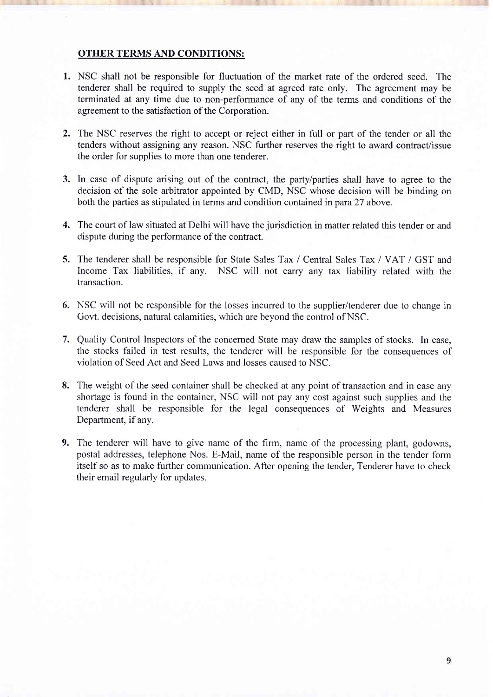### OTHER TERMS AND CONDITIONS:

- l. NSC shall not be responsible for fluctuation of the market rate of the ordered seed. The tenderer shall be required to supply the seed at agreed rate only. The agreement may be terminated at any time due to non-performance of any of the terms and conditions of the agreement to the satisfaction of the Corporation.
- 2. The NSC reserves the right to accept or reject either in full or part of the tender or all the tenders without assigning any reason. NSC further reserves the right to award contract/issue the order for supplies to more than one tenderer.
- 3. In case of dispute arising out of the contract, the party/parties shall have to agree to the decision of the sole arbitrator appointed by CMD, NSC whose decision will be binding on both the parties as stipulated in terms and condition contained in para 27 above.
- 4. The court of law situated at Delhi will have the jurisdiction in matter related this tender or and dispute during the performance of the contract.
- 5. The tenderer shall be responsible for State Sales Tax / Central Sales Tax / VAT / GST and Income Tax liabilities, if any. NSC will not carry any tax liability related with the transaction.
- 6. NSC will not be responsible for the losses incurred to the supplier/tenderer due to change in Govt. decisions, natural calamities, which are beyond the control of NSC.
- Quality Control Inspectors of the concemed State may draw the samples of stocks. In case, 7.the stocks failed in test results, the tenderer will be responsible for the consequences of violation of Seed Act and Seed Laws and losses caused to NSC.
- 8. The weight of the seed container shall be checked at any point of transaction and in case any shortage is found in the container, NSC will not pay any cost against such supplies and the tenderer shall be responsible for the legal consequences of Weights and Measures Department, if any.
- 9. The tenderer will have to give name of the firm, name of the processing plant, godowns, postal addresses, telephone Nos. E-Mail, name of the responsible person in the tender form itself so as to make further communication. After opening the tender, Tenderer have to check their email regularly for updates.

9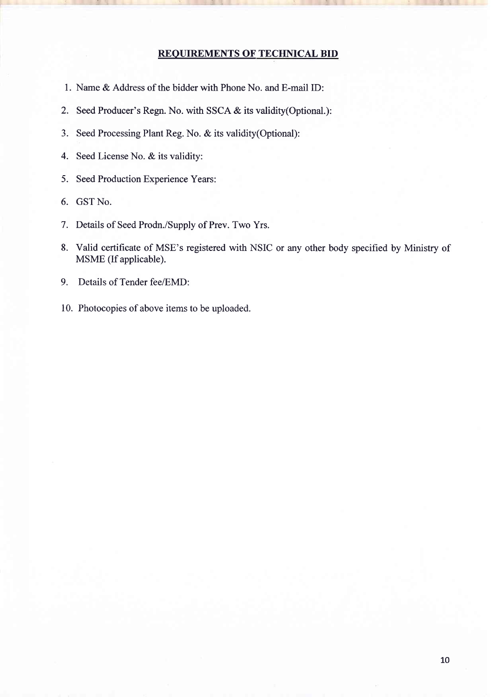## REOUIREMENTS OF TECHNICAL BID

- l. Name & Address of the bidder with Phone No. and E-mail ID:
- 2. Seed Producer's Regn. No. with SSCA & its validity(Optional.):
- 3. Seed Processing Plant Reg. No. & its validity(Optional):
- 4. Seed License No. & its validitv:
- 5. Seed Production Experience Years:
- 6. GST No.
- <sup>7</sup>. Details of Seed Prodn./Supply of Prev. Two Yrs.
- 8. Valid certificate of MSE's registered with NSIC or any other body specified by Ministry of MSME (If applicable).
- 9. Details of Tender fee/EMD:
- 10. Photocopies of above items to be uploaded.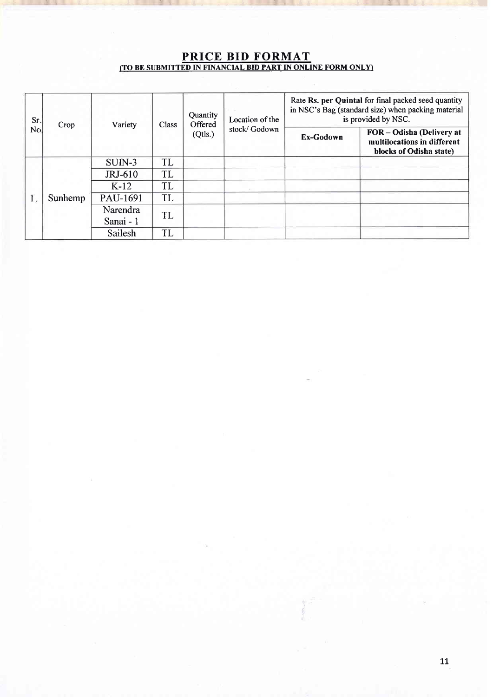## PRICE BID FORMAT (TO BE SUBMITTED IN FINANCIAL BID PART IN ONLINE FORM ONLY)

I- -"::l 4. -,..-1. "1 J. ..--1- 4{ .- .r-4'I

| Sr.<br>No. | Crop    | Variety   | Class | Quantity<br>Offered | Location of the<br>stock/Godown | Rate Rs. per Quintal for final packed seed quantity<br>in NSC's Bag (standard size) when packing material<br>is provided by NSC. |                                                                                   |
|------------|---------|-----------|-------|---------------------|---------------------------------|----------------------------------------------------------------------------------------------------------------------------------|-----------------------------------------------------------------------------------|
|            |         |           |       | (Qtls.)             |                                 | Ex-Godown                                                                                                                        | FOR-Odisha (Delivery at<br>multilocations in different<br>blocks of Odisha state) |
|            | Sunhemp | SUIN-3    | TL    |                     |                                 |                                                                                                                                  |                                                                                   |
|            |         | JRJ-610   | TL    |                     |                                 |                                                                                                                                  |                                                                                   |
|            |         | $K-12$    | TL    |                     |                                 |                                                                                                                                  |                                                                                   |
|            |         | PAU-1691  | TL    |                     |                                 |                                                                                                                                  |                                                                                   |
|            |         | Narendra  |       | TL                  |                                 |                                                                                                                                  |                                                                                   |
|            |         | Sanai - 1 |       |                     |                                 |                                                                                                                                  |                                                                                   |
|            |         | Sailesh   | TL    |                     |                                 |                                                                                                                                  |                                                                                   |